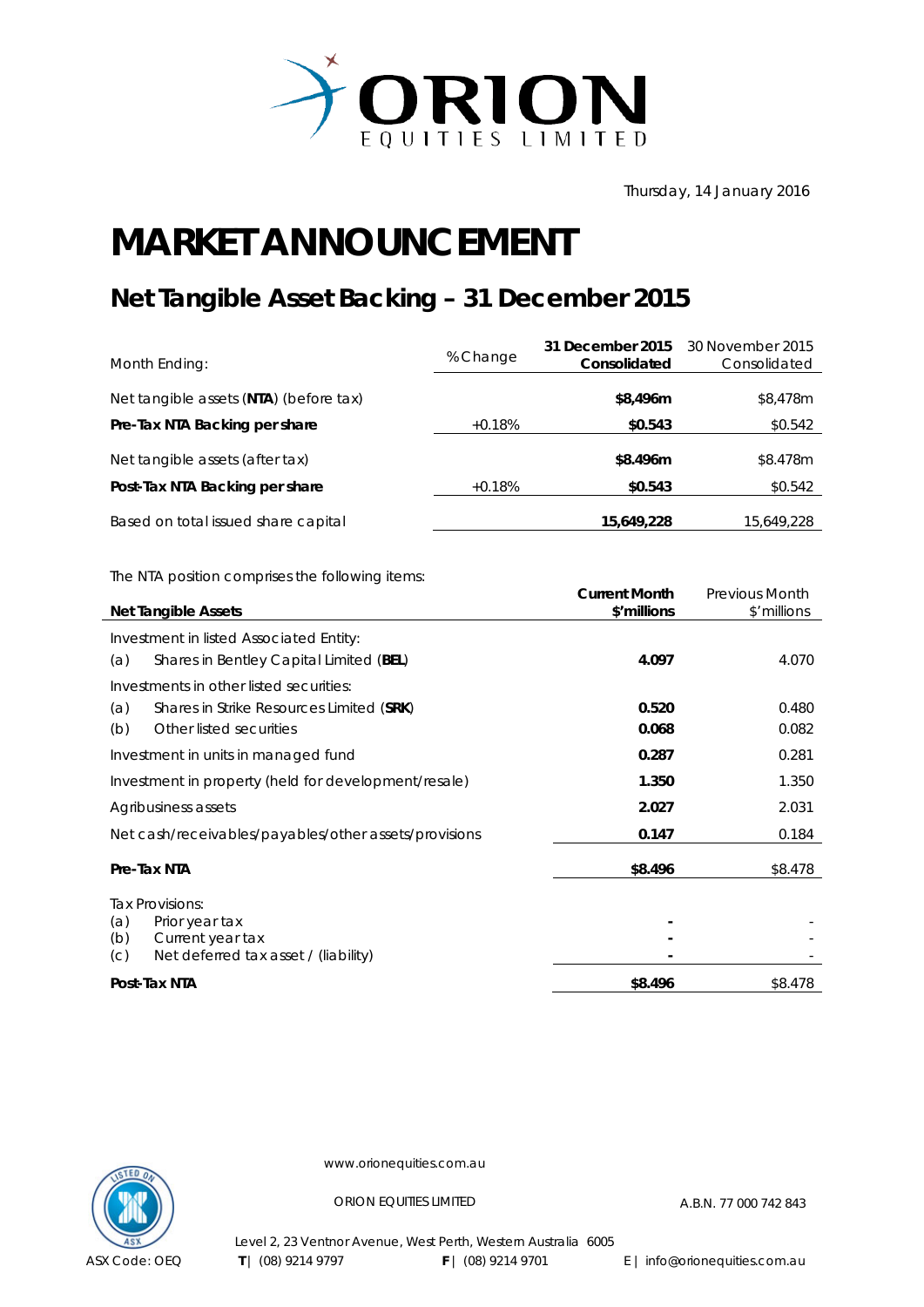

Thursday, 14 January 2016

## **MARKET ANNOUNCEMENT**

## **Net Tangible Asset Backing – 31 December 2015**

| Month Ending:                          | % Change | 31 December 2015<br>Consolidated | 30 November 2015<br>Consolidated |
|----------------------------------------|----------|----------------------------------|----------------------------------|
| Net tangible assets (NTA) (before tax) |          | \$8,496m                         | \$8,478m                         |
| Pre-Tax NTA Backing per share          | $+0.18%$ | \$0.543                          | \$0.542                          |
| Net tangible assets (after tax)        |          | \$8.496m                         | \$8.478m                         |
| Post-Tax NTA Backing per share         | $+0.18%$ | \$0.543                          | \$0.542                          |
| Based on total issued share capital    |          | 15,649,228                       | 15,649,228                       |

The NTA position comprises the following items:

| <b>Net Tangible Assets</b>                                                                                         | <b>Current Month</b><br>\$'millions | <b>Previous Month</b><br>\$'millions |
|--------------------------------------------------------------------------------------------------------------------|-------------------------------------|--------------------------------------|
| Investment in listed Associated Entity:                                                                            | 4.097                               | 4.070                                |
| Shares in Bentley Capital Limited (BEL)<br>(a)<br>Investments in other listed securities:                          |                                     |                                      |
| Shares in Strike Resources Limited (SRK)<br>(a)<br>Other listed securities<br>(b)                                  | 0.520<br>0.068                      | 0.480<br>0.082                       |
| Investment in units in managed fund                                                                                | 0.287                               | 0.281                                |
| Investment in property (held for development/resale)                                                               | 1.350                               | 1.350                                |
| Agribusiness assets                                                                                                | 2.027                               | 2.031                                |
| Net cash/receivables/payables/other assets/provisions                                                              | 0.147                               | 0.184                                |
| Pre-Tax NTA                                                                                                        | \$8.496                             | \$8.478                              |
| Tax Provisions:<br>(a)<br>Prior year tax<br>(b)<br>Current year tax<br>Net deferred tax asset / (liability)<br>(C) |                                     |                                      |
| Post-Tax NTA                                                                                                       | \$8.496                             | \$8.478                              |



www.orionequities.com.au

ORION EQUITIES LIMITED A.B.N. 77 000 742 843

Level 2, 23 Ventnor Avenue, West Perth, Western Australia 6005 **T** | (08) 9214 9797 **F** | (08) 9214 9701 E | info@orionequities.com.au